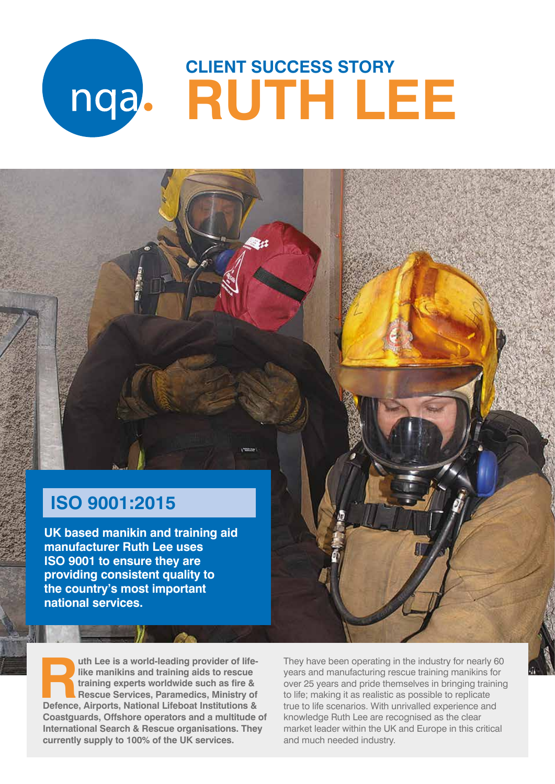# **CLIENT SUCCESS STORY RUTH LEE**

# **ISO 9001:2015**

**UK based manikin and training aid manufacturer Ruth Lee uses ISO 9001 to ensure they are providing consistent quality to the country's most important national services.** 

uth Lee is a world-leading provider of life-<br>like manikins and training aids to rescue<br>training experts worldwide such as fire &<br>Rescue Services, Paramedics, Ministry of<br>Defence. Airports. National Lifeboat Institutions & **like manikins and training aids to rescue training experts worldwide such as fire & Rescue Services, Paramedics, Ministry of Defence, Airports, National Lifeboat Institutions & Coastguards, Offshore operators and a multitude of International Search & Rescue organisations. They currently supply to 100% of the UK services.**

They have been operating in the industry for nearly 60 years and manufacturing rescue training manikins for over 25 years and pride themselves in bringing training to life; making it as realistic as possible to replicate true to life scenarios. With unrivalled experience and knowledge Ruth Lee are recognised as the clear market leader within the UK and Europe in this critical and much needed industry.